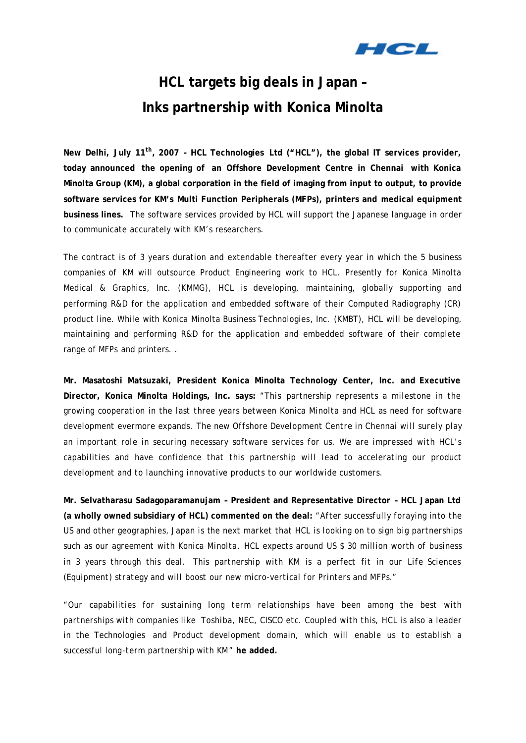

# **HCL targets big deals in Japan – Inks partnership with Konica Minolta**

**New Delhi, July 11th, 2007 - HCL Technologies Ltd ("HCL"), the global IT services provider, today announced the opening of an Offshore Development Centre in Chennai with Konica Minolta Group (KM), a global corporation in the field of imaging from input to output, to provide software services for KM's Multi Function Peripherals (MFPs), printers and medical equipment business lines.** The software services provided by HCL will support the Japanese language in order to communicate accurately with KM's researchers.

The contract is of 3 years duration and extendable thereafter every year in which the 5 business companies of KM will outsource Product Engineering work to HCL. Presently for Konica Minolta Medical & Graphics, Inc. (KMMG), HCL is developing, maintaining, globally supporting and performing R&D for the application and embedded software of their Computed Radiography (CR) product line. While with Konica Minolta Business Technologies, Inc. (KMBT), HCL will be developing, maintaining and performing R&D for the application and embedded software of their complete range of MFPs and printers. .

**Mr. Masatoshi Matsuzaki, President Konica Minolta Technology Center, Inc. and Executive Director, Konica Minolta Holdings, Inc. says:** *"This partnership represents a milestone in the growing cooperation in the last three years between Konica Minolta and HCL as need for software development evermore expands. The new Offshore Development Centre in Chennai will surely play an important role in securing necessary software services for us. We are impressed with HCL's capabilities and have confidence that this partnership will lead to accelerating our product development and to launching innovative products to our worldwide customers.* 

**Mr. Selvatharasu Sadagoparamanujam – President and Representative Director – HCL Japan Ltd (a wholly owned subsidiary of HCL) commented on the deal:** *"After successfully foraying into the US and other geographies, Japan is the next market that HCL is looking on to sign big partnerships such as our agreement with Konica Minolta. HCL expects around US \$ 30 million worth of business in 3 years through this deal. This partnership with KM is a perfect fit in our Life Sciences (Equipment) strategy and will boost our new micro-vertical for Printers and MFPs."* 

*"Our capabilities for sustaining long term relationships have been among the best with partnerships with companies like Toshiba, NEC, CISCO etc. Coupled with this, HCL is also a leader in the Technologies and Product development domain, which will enable us to establish a successful long-term partnership with KM"* **he added.**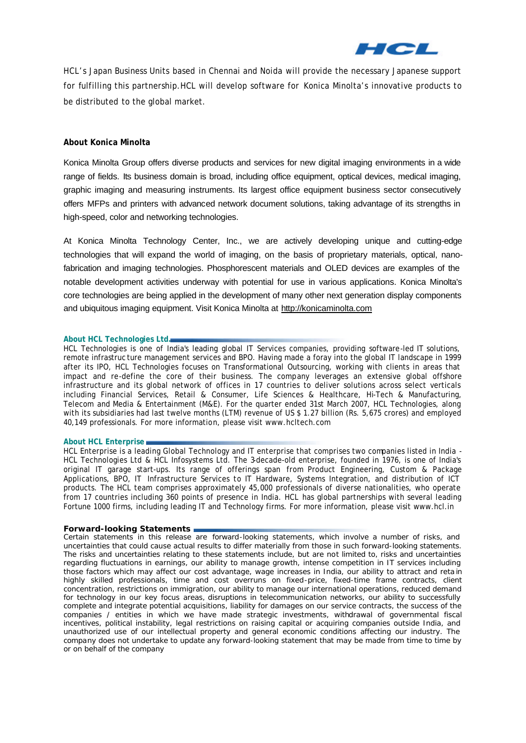

HCL's Japan Business Units based in Chennai and Noida will provide the necessary Japanese support for fulfilling this partnership.HCL will develop software for Konica Minolta's innovative products to be distributed to the global market.

## **About Konica Minolta**

Konica Minolta Group offers diverse products and services for new digital imaging environments in a wide range of fields. Its business domain is broad, including office equipment, optical devices, medical imaging, graphic imaging and measuring instruments. Its largest office equipment business sector consecutively offers MFPs and printers with advanced network document solutions, taking advantage of its strengths in high-speed, color and networking technologies.

At Konica Minolta Technology Center, Inc., we are actively developing unique and cutting-edge technologies that will expand the world of imaging, on the basis of proprietary materials, optical, nanofabrication and imaging technologies. Phosphorescent materials and OLED devices are examples of the notable development activities underway with potential for use in various applications. Konica Minolta's core technologies are being applied in the development of many other next generation display components and ubiquitous imaging equipment. Visit Konica Minolta at http://konicaminolta.com

#### **About HCL Technologies Ltd.**

HCL Technologies is one of India's leading global IT Services companies, providing software-led IT solutions, remote infrastruc ture management services and BPO. Having made a foray into the global IT landscape in 1999 after its IPO, HCL Technologies focuses on Transformational Outsourcing, working with clients in areas that impact and re-define the core of their business. The company leverages an extensive global offshore infrastructure and its global network of offices in 17 countries to deliver solutions across select verticals including Financial Services, Retail & Consumer, Life Sciences & Healthcare, Hi-Tech & Manufacturing, Telecom and Media & Entertainment (M&E). For the quarter ended 31st March 2007, HCL Technologies, along with its subsidiaries had last twelve months (LTM) revenue of US \$ 1.27 billion (Rs. 5,675 crores) and employed 40,149 professionals. For more information, please visit www.hcltech.com

#### **About HCL Enterprise**

HCL Enterprise is a leading Global Technology and IT enterprise that comprises two companies listed in India -HCL Technologies Ltd & HCL Infosystems Ltd. The 3-decade-old enterprise, founded in 1976, is one of India's original IT garage start-ups. Its range of offerings span from Product Engineering, Custom & Package Applications, BPO, IT Infrastructure Services to IT Hardware, Systems Integration, and distribution of ICT products. The HCL team comprises approximately 45,000 professionals of diverse nationalities, who operate from 17 countries including 360 points of presence in India. HCL has global partnerships with several leading Fortune 1000 firms, including leading IT and Technology firms. For more information, please visit www.hcl.in

#### **Forward-looking Statements**

*Certain statements in this release are forward-looking statements, which involve a number of risks, and uncertainties that could cause actual results to differ materially from those in such forward-looking statements. The risks and uncertainties relating to these statements include, but are not limited to, risks and uncertainties regarding fluctuations in earnings, our ability to manage growth, intense competition in IT services including those factors which may affect our cost advantage, wage increases in India, our ability to attract and reta in highly skilled professionals, time and cost overruns on fixed-price, fixed-time frame contracts, client concentration, restrictions on immigration, our ability to manage our international operations, reduced demand for technology in our key focus areas, disruptions in telecommunication networks, our ability to successfully complete and integrate potential acquisitions, liability for damages on our service contracts, the success of the companies / entities in which we have made strategic investments, withdrawal of governmental fiscal incentives, political instability, legal restrictions on raising capital or acquiring companies outside India, and unauthorized use of our intellectual property and general economic conditions affecting our industry. The company does not undertake to update any forward-looking statement that may be made from time to time by or on behalf of the company*